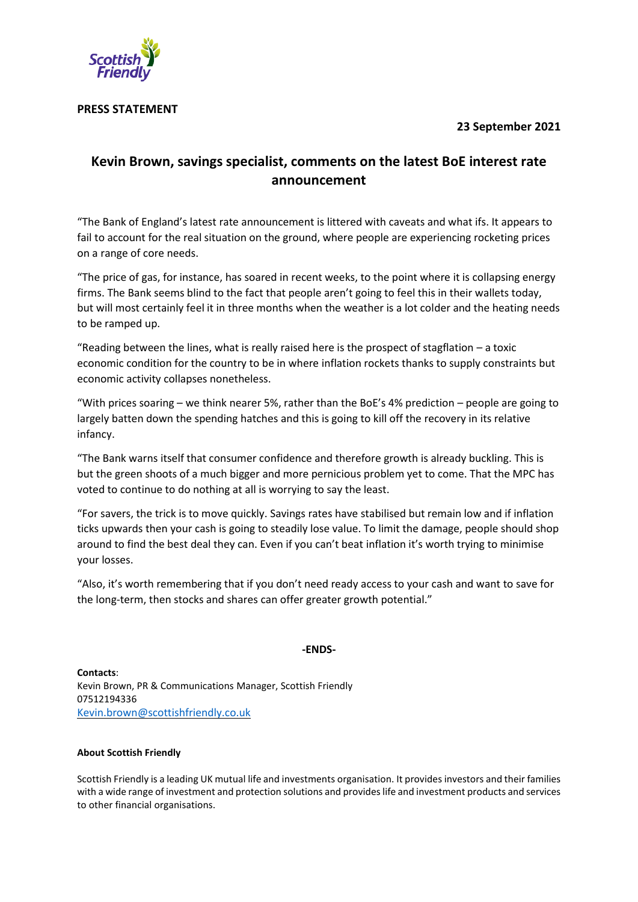# **23 September 2021**



## **PRESS STATEMENT**

# **Kevin Brown, savings specialist, comments on the latest BoE interest rate announcement**

"The Bank of England's latest rate announcement is littered with caveats and what ifs. It appears to fail to account for the real situation on the ground, where people are experiencing rocketing prices on a range of core needs.

"The price of gas, for instance, has soared in recent weeks, to the point where it is collapsing energy firms. The Bank seems blind to the fact that people aren't going to feel this in their wallets today, but will most certainly feel it in three months when the weather is a lot colder and the heating needs to be ramped up.

"Reading between the lines, what is really raised here is the prospect of stagflation  $-$  a toxic economic condition for the country to be in where inflation rockets thanks to supply constraints but economic activity collapses nonetheless.

"With prices soaring – we think nearer 5%, rather than the BoE's 4% prediction – people are going to largely batten down the spending hatches and this is going to kill off the recovery in its relative infancy.

"The Bank warns itself that consumer confidence and therefore growth is already buckling. This is but the green shoots of a much bigger and more pernicious problem yet to come. That the MPC has voted to continue to do nothing at all is worrying to say the least.

"For savers, the trick is to move quickly. Savings rates have stabilised but remain low and if inflation ticks upwards then your cash is going to steadily lose value. To limit the damage, people should shop around to find the best deal they can. Even if you can't beat inflation it's worth trying to minimise your losses.

"Also, it's worth remembering that if you don't need ready access to your cash and want to save for the long-term, then stocks and shares can offer greater growth potential."

### **-ENDS-**

**Contacts**: Kevin Brown, PR & Communications Manager, Scottish Friendly 07512194336 [Kevin.brown@scottishfriendly.co.uk](mailto:Kevin.brown@scottishfriendly.co.uk)

#### **About Scottish Friendly**

Scottish Friendly is a leading UK mutual life and investments organisation. It provides investors and their families with a wide range of investment and protection solutions and provideslife and investment products and services to other financial organisations.